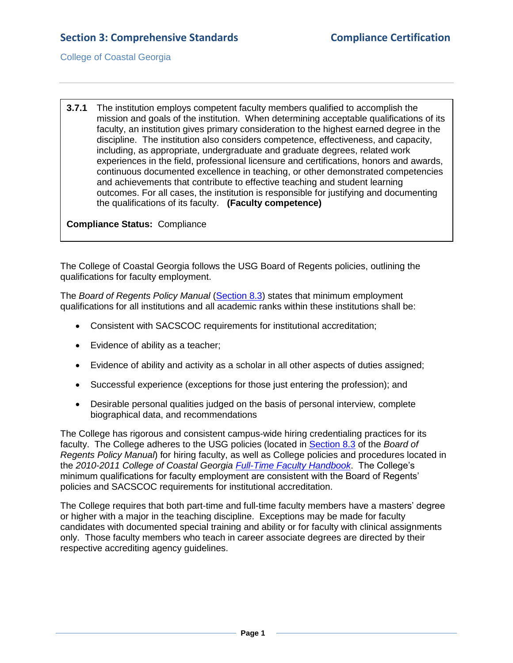College of Coastal Georgia

**3.7.1** The institution employs competent faculty members qualified to accomplish the mission and goals of the institution. When determining acceptable qualifications of its faculty, an institution gives primary consideration to the highest earned degree in the discipline. The institution also considers competence, effectiveness, and capacity, including, as appropriate, undergraduate and graduate degrees, related work experiences in the field, professional licensure and certifications, honors and awards, continuous documented excellence in teaching, or other demonstrated competencies and achievements that contribute to effective teaching and student learning outcomes. For all cases, the institution is responsible for justifying and documenting the qualifications of its faculty. **(Faculty competence)**

**Compliance Status:** Compliance

The College of Coastal Georgia follows the USG Board of Regents policies, outlining the qualifications for faculty employment.

The *Board of Regents Policy Manual* [\(Section 8.3\)](3.7.1.aUSGPolicyManual8.3.pdf#page=1) states that minimum employment qualifications for all institutions and all academic ranks within these institutions shall be:

- Consistent with SACSCOC requirements for institutional accreditation;
- Evidence of ability as a teacher;
- Evidence of ability and activity as a scholar in all other aspects of duties assigned;
- Successful experience (exceptions for those just entering the profession); and
- Desirable personal qualities judged on the basis of personal interview, complete biographical data, and recommendations

The College has rigorous and consistent campus-wide hiring credentialing practices for its faculty. The College adheres to the USG policies (located in [Section 8.3](3.7.1.aUSGPolicyManual8.3.pdf#page=1) of the *Board of Regents Policy Manual*) for hiring faculty, as well as College policies and procedures located in the *2010-2011 College of Coastal Georgia [Full-Time Faculty Handbook](FTfacultyhandbook.pdf#page=13)*. The College's minimum qualifications for faculty employment are consistent with the Board of Regents' policies and SACSCOC requirements for institutional accreditation.

The College requires that both part-time and full-time faculty members have a masters' degree or higher with a major in the teaching discipline. Exceptions may be made for faculty candidates with documented special training and ability or for faculty with clinical assignments only. Those faculty members who teach in career associate degrees are directed by their respective accrediting agency guidelines.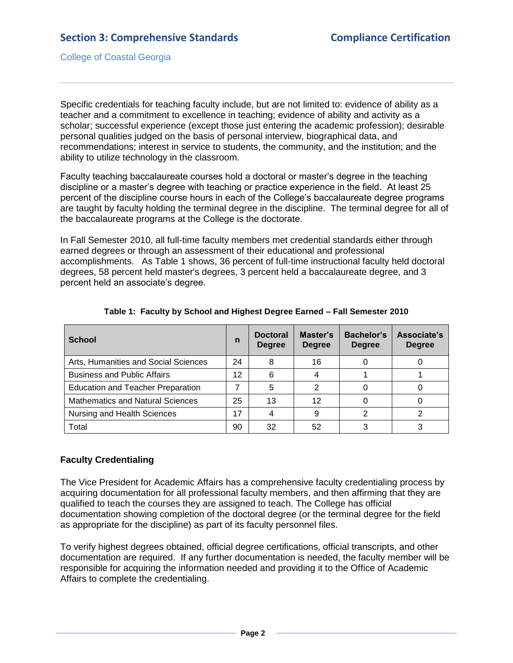College of Coastal Georgia

Specific credentials for teaching faculty include, but are not limited to: evidence of ability as a teacher and a commitment to excellence in teaching; evidence of ability and activity as a scholar; successful experience (except those just entering the academic profession); desirable personal qualities judged on the basis of personal interview, biographical data, and recommendations; interest in service to students, the community, and the institution; and the ability to utilize technology in the classroom.

Faculty teaching baccalaureate courses hold a doctoral or master's degree in the teaching discipline or a master's degree with teaching or practice experience in the field. At least 25 percent of the discipline course hours in each of the College's baccalaureate degree programs are taught by faculty holding the terminal degree in the discipline. The terminal degree for all of the baccalaureate programs at the College is the doctorate.

In Fall Semester 2010, all full-time faculty members met credential standards either through earned degrees or through an assessment of their educational and professional accomplishments. As Table 1 shows, 36 percent of full-time instructional faculty held doctoral degrees, 58 percent held master's degrees, 3 percent held a baccalaureate degree, and 3 percent held an associate's degree.

| <b>School</b>                            | n  | <b>Doctoral</b><br><b>Degree</b> | Master's<br><b>Degree</b> | Bachelor's<br><b>Degree</b> | Associate's<br><b>Degree</b> |
|------------------------------------------|----|----------------------------------|---------------------------|-----------------------------|------------------------------|
| Arts, Humanities and Social Sciences     | 24 | 8                                | 16                        |                             |                              |
| <b>Business and Public Affairs</b>       | 12 | 6                                |                           |                             |                              |
| <b>Education and Teacher Preparation</b> |    | 5                                | າ                         |                             |                              |
| <b>Mathematics and Natural Sciences</b>  | 25 | 13                               | 12                        |                             |                              |
| Nursing and Health Sciences              | 17 | 4                                | 9                         | າ                           |                              |
| Total                                    | 90 | 32                               | 52                        |                             |                              |

#### **Table 1: Faculty by School and Highest Degree Earned – Fall Semester 2010**

### **Faculty Credentialing**

The Vice President for Academic Affairs has a comprehensive faculty credentialing process by acquiring documentation for all professional faculty members, and then affirming that they are qualified to teach the courses they are assigned to teach. The College has official documentation showing completion of the doctoral degree (or the terminal degree for the field as appropriate for the discipline) as part of its faculty personnel files.

To verify highest degrees obtained, official degree certifications, official transcripts, and other documentation are required. If any further documentation is needed, the faculty member will be responsible for acquiring the information needed and providing it to the Office of Academic Affairs to complete the credentialing.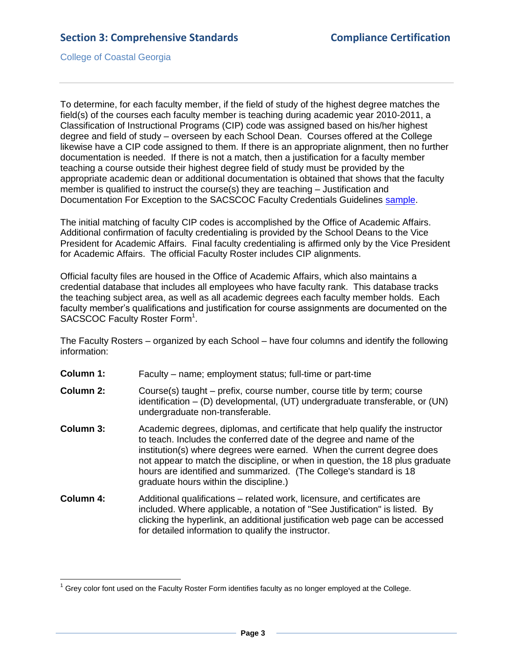College of Coastal Georgia

To determine, for each faculty member, if the field of study of the highest degree matches the field(s) of the courses each faculty member is teaching during academic year 2010-2011, a Classification of Instructional Programs (CIP) code was assigned based on his/her highest degree and field of study – overseen by each School Dean. Courses offered at the College likewise have a CIP code assigned to them. If there is an appropriate alignment, then no further documentation is needed. If there is not a match, then a justification for a faculty member teaching a course outside their highest degree field of study must be provided by the appropriate academic dean or additional documentation is obtained that shows that the faculty member is qualified to instruct the course(s) they are teaching – Justification and Documentation For Exception to the SACSCOC Faculty Credentials Guidelines [sample.](3.7.1.eFacultyCredentialJustificationsample.pdf#page=1)

The initial matching of faculty CIP codes is accomplished by the Office of Academic Affairs. Additional confirmation of faculty credentialing is provided by the School Deans to the Vice President for Academic Affairs. Final faculty credentialing is affirmed only by the Vice President for Academic Affairs. The official Faculty Roster includes CIP alignments.

Official faculty files are housed in the Office of Academic Affairs, which also maintains a credential database that includes all employees who have faculty rank. This database tracks the teaching subject area, as well as all academic degrees each faculty member holds. Each faculty member's qualifications and justification for course assignments are documented on the SACSCOC Faculty Roster Form<sup>1</sup>.

The Faculty Rosters – organized by each School – have four columns and identify the following information:

- **Column 1:** Faculty name; employment status; full-time or part-time
- **Column 2:** Course(s) taught prefix, course number, course title by term; course identification – (D) developmental, (UT) undergraduate transferable, or (UN) undergraduate non-transferable.
- **Column 3:** Academic degrees, diplomas, and certificate that help qualify the instructor to teach. Includes the conferred date of the degree and name of the institution(s) where degrees were earned. When the current degree does not appear to match the discipline, or when in question, the 18 plus graduate hours are identified and summarized. (The College's standard is 18 graduate hours within the discipline.)
- **Column 4:** Additional qualifications related work, licensure, and certificates are included. Where applicable, a notation of "See Justification" is listed. By clicking the hyperlink, an additional justification web page can be accessed for detailed information to qualify the instructor.

 $\overline{a}$  $1$  Grey color font used on the Faculty Roster Form identifies faculty as no longer employed at the College.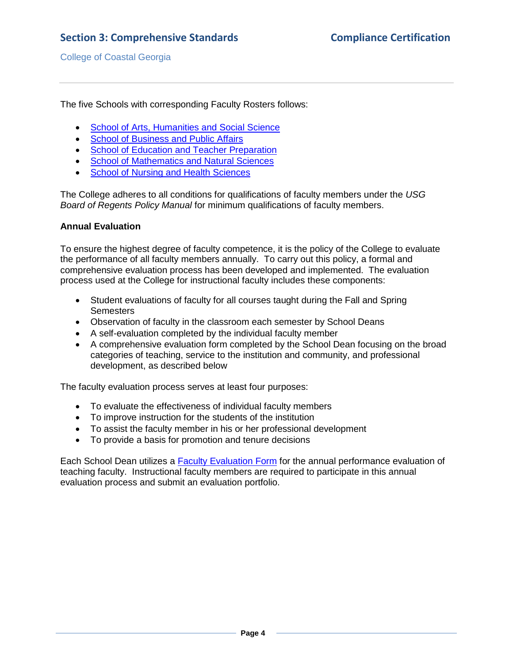The five Schools with corresponding Faculty Rosters follows:

- [School of Arts, Humanities and Social Science](3.7.1.SchoolOfArtsHumanities&SocialScience.pdf#page=1)
- [School of Business and Public Affairs](3.7.1.SchoolOfBusiness&PublicAffairs.pdf#page=1)
- [School of Education and Teacher Preparation](3.7.1SchoolOfEducation&TeacherPrep.pdf#page=1)
- [School of Mathematics and Natural Sciences](3.7.1SchoolOfMathematics&NaturalSciences.pdf#page=1)
- [School of Nursing and Health Sciences](3.7.1.SchoolOfNursing&HealthSciences.pdf#page=1)

The College adheres to all conditions for qualifications of faculty members under the *USG Board of Regents Policy Manual* for minimum qualifications of faculty members.

#### **Annual Evaluation**

To ensure the highest degree of faculty competence, it is the policy of the College to evaluate the performance of all faculty members annually. To carry out this policy, a formal and comprehensive evaluation process has been developed and implemented. The evaluation process used at the College for instructional faculty includes these components:

- Student evaluations of faculty for all courses taught during the Fall and Spring **Semesters**
- Observation of faculty in the classroom each semester by School Deans
- A self-evaluation completed by the individual faculty member
- A comprehensive evaluation form completed by the School Dean focusing on the broad categories of teaching, service to the institution and community, and professional development, as described below

The faculty evaluation process serves at least four purposes:

- To evaluate the effectiveness of individual faculty members
- To improve instruction for the students of the institution
- To assist the faculty member in his or her professional development
- To provide a basis for promotion and tenure decisions

Each School Dean utilizes a [Faculty Evaluation Form](3.7.2.cSelfEval&DeanEvalForm.pdf#page=1) for the annual performance evaluation of teaching faculty. Instructional faculty members are required to participate in this annual evaluation process and submit an evaluation portfolio.